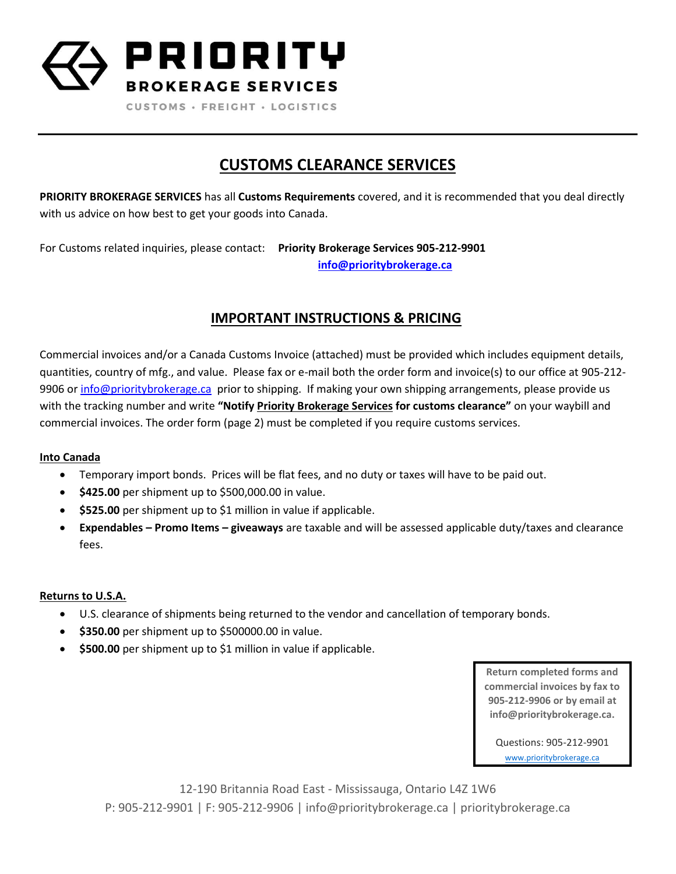

CUSTOMS · FREIGHT · LOGISTICS

## **CUSTOMS CLEARANCE SERVICES**

**PRIORITY BROKERAGE SERVICES** has all **Customs Requirements** covered, and it is recommended that you deal directly with us advice on how best to get your goods into Canada.

For Customs related inquiries, please contact: **Priority Brokerage Services 905-212-9901 [info@prioritybrokerage.ca](mailto:clint@prioritybrokerage.ca)**

### **IMPORTANT INSTRUCTIONS & PRICING**

Commercial invoices and/or a Canada Customs Invoice (attached) must be provided which includes equipment details, quantities, country of mfg., and value. Please fax or e-mail both the order form and invoice(s) to our office at 905-212- 9906 or [info@prioritybrokerage.ca](mailto:clint@prioritybrokerage.ca) prior to shipping. If making your own shipping arrangements, please provide us with the tracking number and write **"Notify Priority Brokerage Services for customs clearance"** on your waybill and commercial invoices. The order form (page 2) must be completed if you require customs services.

#### **Into Canada**

- Temporary import bonds. Prices will be flat fees, and no duty or taxes will have to be paid out.
- **\$425.00** per shipment up to \$500,000.00 in value.
- **\$525.00** per shipment up to \$1 million in value if applicable.
- **Expendables – Promo Items – giveaways** are taxable and will be assessed applicable duty/taxes and clearance fees.

#### **Returns to U.S.A.**

- U.S. clearance of shipments being returned to the vendor and cancellation of temporary bonds.
- **\$350.00** per shipment up to \$500000.00 in value.
- **\$500.00** per shipment up to \$1 million in value if applicable.

**Return completed forms and commercial invoices by fax to 905-212-9906 or by email at info@prioritybrokerage.ca.**

Questions: 905-212-9901 [www.prioritybrokerage.ca](http://www.prioritybrokerage.ca/)

12-190 Britannia Road East - Mississauga, Ontario L4Z 1W6 P: 905-212-9901 | F: 905-212-9906 | info@prioritybrokerage.ca | prioritybrokerage.ca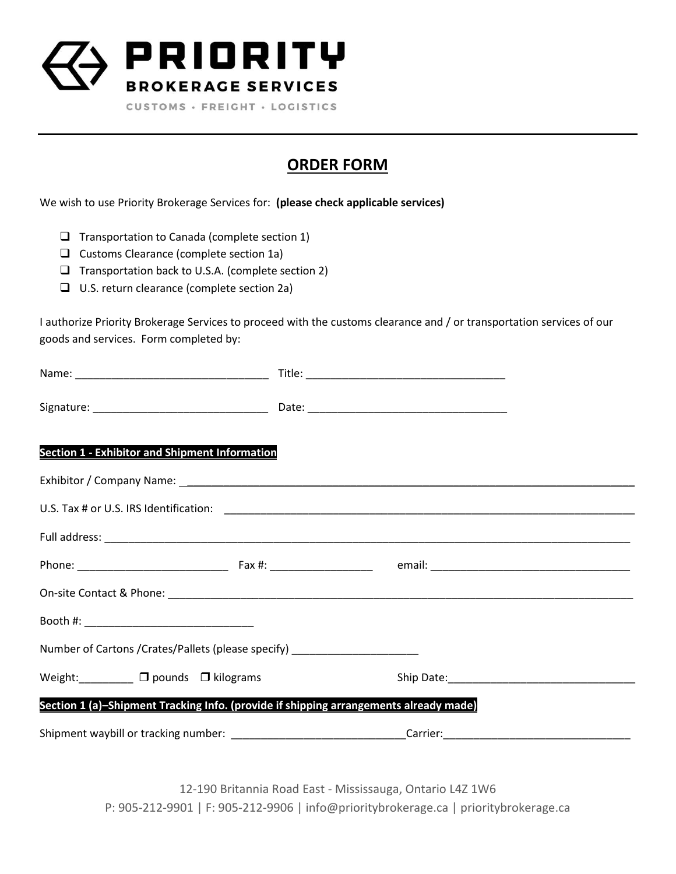

CUSTOMS · FREIGHT · LOGISTICS

# **ORDER FORM**

We wish to use Priority Brokerage Services for: **(please check applicable services)**

- $\Box$  Transportation to Canada (complete section 1)
- $\Box$  Customs Clearance (complete section 1a)
- $\Box$  Transportation back to U.S.A. (complete section 2)
- □ U.S. return clearance (complete section 2a)

I authorize Priority Brokerage Services to proceed with the customs clearance and / or transportation services of our goods and services. Form completed by:

| <b>Section 1 - Exhibitor and Shipment Information</b>                                                          |  |  |
|----------------------------------------------------------------------------------------------------------------|--|--|
|                                                                                                                |  |  |
|                                                                                                                |  |  |
|                                                                                                                |  |  |
|                                                                                                                |  |  |
|                                                                                                                |  |  |
|                                                                                                                |  |  |
| Number of Cartons / Crates/Pallets (please specify) ____________________________                               |  |  |
| Weight: $\Box$ $\Box$ pounds $\Box$ kilograms                                                                  |  |  |
| Section 1 (a)-Shipment Tracking Info. (provide if shipping arrangements already made)                          |  |  |
| Shipment waybill or tracking number: _________________________________Carrier:________________________________ |  |  |

12-190 Britannia Road East - Mississauga, Ontario L4Z 1W6 P: 905-212-9901 | F: 905-212-9906 | info@prioritybrokerage.ca | prioritybrokerage.ca